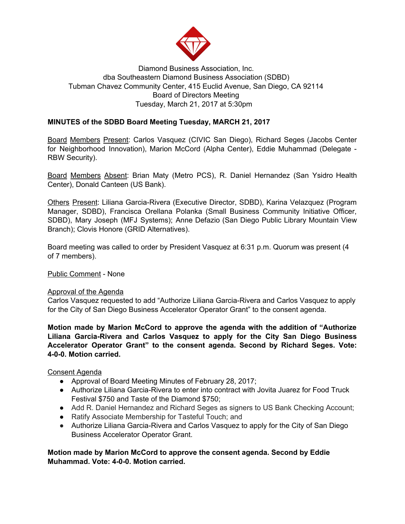

# Diamond Business Association, Inc. dba Southeastern Diamond Business Association (SDBD) Tubman Chavez Community Center, 415 Euclid Avenue, San Diego, CA 92114 Board of Directors Meeting Tuesday, March 21, 2017 at 5:30pm

# **MINUTES of the SDBD Board Meeting Tuesday, MARCH 21, 2017**

Board Members Present: Carlos Vasquez (CIVIC San Diego), Richard Seges (Jacobs Center for Neighborhood Innovation), Marion McCord (Alpha Center), Eddie Muhammad (Delegate - RBW Security).

Board Members Absent: Brian Maty (Metro PCS), R. Daniel Hernandez (San Ysidro Health Center), Donald Canteen (US Bank).

Others Present: Liliana Garcia-Rivera (Executive Director, SDBD), Karina Velazquez (Program Manager, SDBD), Francisca Orellana Polanka (Small Business Community Initiative Officer, SDBD), Mary Joseph (MFJ Systems); Anne Defazio (San Diego Public Library Mountain View Branch); Clovis Honore (GRID Alternatives).

Board meeting was called to order by President Vasquez at 6:31 p.m. Quorum was present (4 of 7 members).

Public Comment - None

## Approval of the Agenda

Carlos Vasquez requested to add "Authorize Liliana Garcia-Rivera and Carlos Vasquez to apply for the City of San Diego Business Accelerator Operator Grant" to the consent agenda.

**Motion made by Marion McCord to approve the agenda with the addition of "Authorize Liliana Garcia-Rivera and Carlos Vasquez to apply for the City San Diego Business Accelerator Operator Grant" to the consent agenda. Second by Richard Seges. Vote: 4-0-0. Motion carried.**

## Consent Agenda

- Approval of Board Meeting Minutes of February 28, 2017;
- Authorize Liliana Garcia-Rivera to enter into contract with Jovita Juarez for Food Truck Festival \$750 and Taste of the Diamond \$750;
- Add R. Daniel Hernandez and Richard Seges as signers to US Bank Checking Account;
- Ratify Associate Membership for Tasteful Touch; and
- Authorize Liliana Garcia-Rivera and Carlos Vasquez to apply for the City of San Diego Business Accelerator Operator Grant.

**Motion made by Marion McCord to approve the consent agenda. Second by Eddie Muhammad. Vote: 4-0-0. Motion carried.**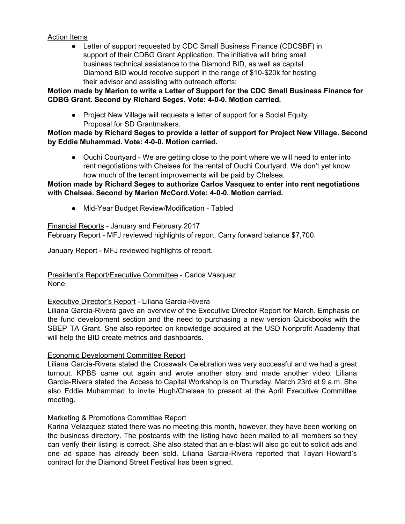## Action Items

• Letter of support requested by CDC Small Business Finance (CDCSBF) in support of their CDBG Grant Application. The initiative will bring small business technical assistance to the Diamond BID, as well as capital. Diamond BID would receive support in the range of \$10-\$20k for hosting their advisor and assisting with outreach efforts;

## **Motion made by Marion to write a Letter of Support for the CDC Small Business Finance for CDBG Grant. Second by Richard Seges. Vote: 4-0-0. Motion carried.**

● Project New Village will requests a letter of support for a Social Equity Proposal for SD Grantmakers.

## **Motion made by Richard Seges to provide a letter of support for Project New Village. Second by Eddie Muhammad. Vote: 4-0-0. Motion carried.**

• Ouchi Courtyard - We are getting close to the point where we will need to enter into rent negotiations with Chelsea for the rental of Ouchi Courtyard. We don't yet know how much of the tenant improvements will be paid by Chelsea.

## **Motion made by Richard Seges to authorize Carlos Vasquez to enter into rent negotiations with Chelsea. Second by Marion McCord.Vote: 4-0-0. Motion carried.**

● Mid-Year Budget Review/Modification - Tabled

Financial Reports - January and February 2017 February Report - MFJ reviewed highlights of report. Carry forward balance \$7,700.

January Report - MFJ reviewed highlights of report.

President's Report/Executive Committee - Carlos Vasquez None.

## Executive Director's Report - Liliana Garcia-Rivera

Liliana Garcia-Rivera gave an overview of the Executive Director Report for March. Emphasis on the fund development section and the need to purchasing a new version Quickbooks with the SBEP TA Grant. She also reported on knowledge acquired at the USD Nonprofit Academy that will help the BID create metrics and dashboards.

## Economic Development Committee Report

Liliana Garcia-Rivera stated the Crosswalk Celebration was very successful and we had a great turnout. KPBS came out again and wrote another story and made another video. Liliana Garcia-Rivera stated the Access to Capital Workshop is on Thursday, March 23rd at 9 a.m. She also Eddie Muhammad to invite Hugh/Chelsea to present at the April Executive Committee meeting.

## Marketing & Promotions Committee Report

Karina Velazquez stated there was no meeting this month, however, they have been working on the business directory. The postcards with the listing have been mailed to all members so they can verify their listing is correct. She also stated that an e-blast will also go out to solicit ads and one ad space has already been sold. Liliana Garcia-Rivera reported that Tayari Howard's contract for the Diamond Street Festival has been signed.